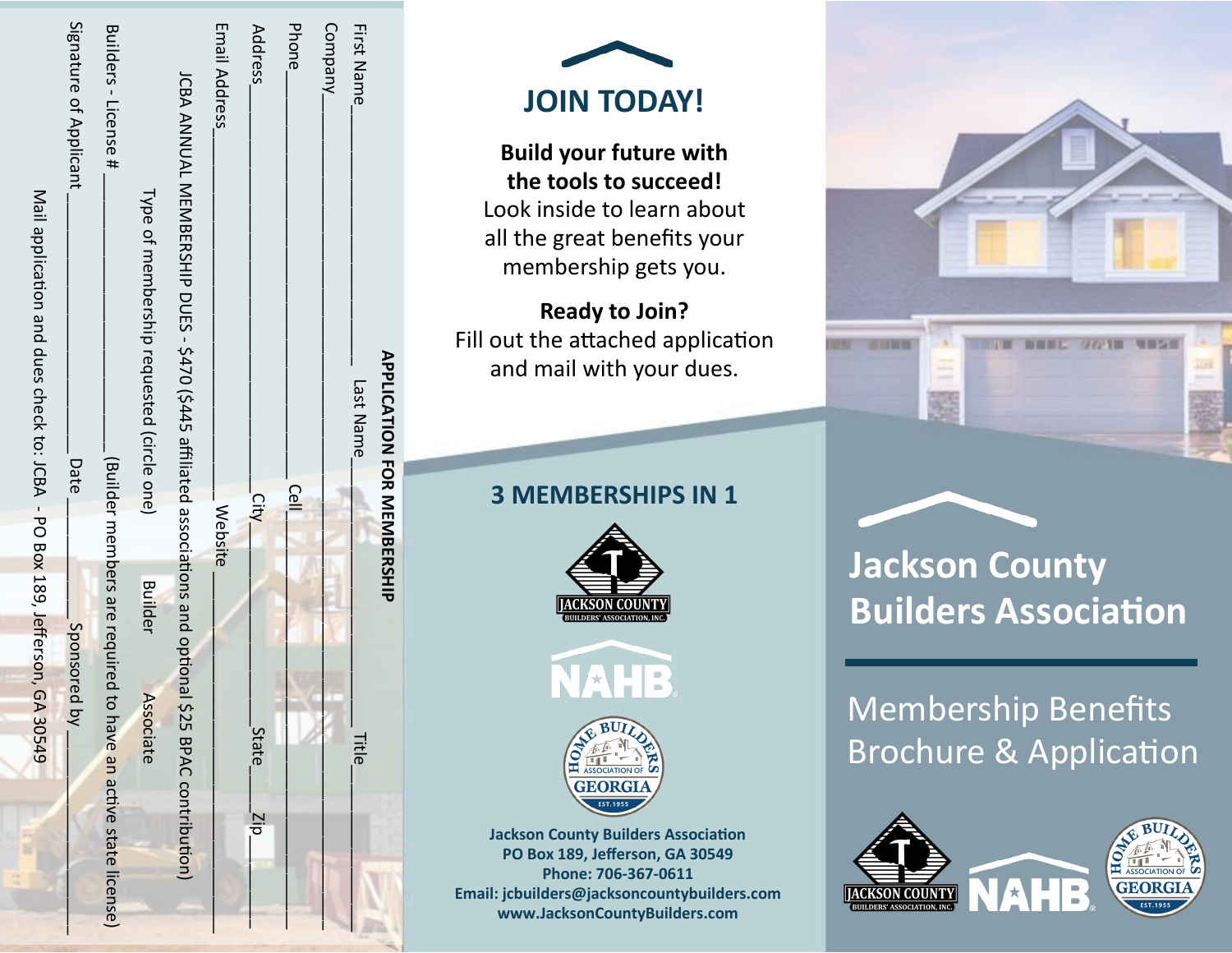| <b>APPLICATION FOR NEWSFIP</b>                                                                          |                                  |                                |
|---------------------------------------------------------------------------------------------------------|----------------------------------|--------------------------------|
| <b>First Name</b><br>Last Name                                                                          |                                  | Title                          |
| Company <sub>-</sub>                                                                                    |                                  |                                |
| <b>Phone</b>                                                                                            | Cell                             |                                |
| Address                                                                                                 | City                             | <b>State</b><br>$\overline{q}$ |
| Email Address                                                                                           | <b>Website</b>                   |                                |
| JCBA ANNUAL MEMBERSHIP DUES - \$470 (\$445 affiliated associations and optional \$25 BPAC contribution) |                                  |                                |
| Type of membership requested (circle one)                                                               | <b>Builder</b>                   | Associate                      |
| Builders - License #                                                                                    | (Builder members are required to | have an active state license)  |
| Signature of Applicant<br>Date                                                                          | Sponsored b                      |                                |
| Nalia application and dues check to: JCBA - PO Box 189, Jefferson, GA                                   |                                  | 30549                          |



**Build your future with the tools to succeed!** Look inside to learn about all the great benefits your membership gets you.

**Ready to Join?** Fill out the attached application and mail with your dues.

## **3 MEMBERSHIPS IN 1**







**Jackson County Builders Association PO Box 189, Jefferson, GA 30549 Phone: 706 -367 -0611 Email: jcbuilders@jacksoncountybuilders.com www.JacksonCountyBuilders.com**



# **Jackson County Builders Association**

Membership Benefits Brochure & Application